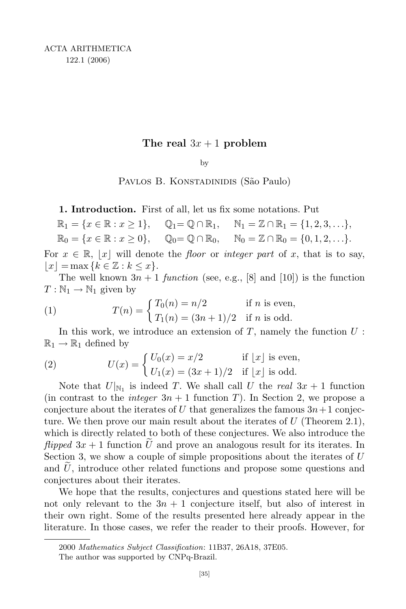## The real  $3x + 1$  problem

by

PAVLOS B. KONSTADINIDIS (São Paulo)

1. Introduction. First of all, let us fix some notations. Put

 $\mathbb{R}_1 = \{x \in \mathbb{R} : x \ge 1\}, \quad \mathbb{Q}_1 = \mathbb{Q} \cap \mathbb{R}_1, \quad \mathbb{N}_1 = \mathbb{Z} \cap \mathbb{R}_1 = \{1, 2, 3, \ldots\},\$ 

 $\mathbb{R}_0 = \{x \in \mathbb{R} : x \ge 0\}, \quad \mathbb{Q}_0 = \mathbb{Q} \cap \mathbb{R}_0, \quad \mathbb{N}_0 = \mathbb{Z} \cap \mathbb{R}_0 = \{0, 1, 2, \ldots\}.$ 

For  $x \in \mathbb{R}$ , |x| will denote the floor or integer part of x, that is to say,  $|x| = \max\{k \in \mathbb{Z} : k \leq x\}.$ 

The well known  $3n + 1$  function (see, e.g., [8] and [10]) is the function  $T : \mathbb{N}_1 \to \mathbb{N}_1$  given by

(1) 
$$
T(n) = \begin{cases} T_0(n) = n/2 & \text{if } n \text{ is even,} \\ T_1(n) = (3n+1)/2 & \text{if } n \text{ is odd.} \end{cases}
$$

In this work, we introduce an extension of  $T$ , namely the function  $U$ :  $\mathbb{R}_1 \to \mathbb{R}_1$  defined by

(2) 
$$
U(x) = \begin{cases} U_0(x) = x/2 & \text{if } |x| \text{ is even,} \\ U_1(x) = (3x+1)/2 & \text{if } |x| \text{ is odd.} \end{cases}
$$

Note that  $U|_{\mathbb{N}_1}$  is indeed T. We shall call U the real  $3x + 1$  function (in contrast to the *integer*  $3n + 1$  function T). In Section 2, we propose a conjecture about the iterates of U that generalizes the famous  $3n+1$  conjecture. We then prove our main result about the iterates of  $U$  (Theorem 2.1), which is directly related to both of these conjectures. We also introduce the flipped  $3x + 1$  function U and prove an analogous result for its iterates. In Section 3, we show a couple of simple propositions about the iterates of  $U$ and  $U$ , introduce other related functions and propose some questions and conjectures about their iterates.

We hope that the results, conjectures and questions stated here will be not only relevant to the  $3n + 1$  conjecture itself, but also of interest in their own right. Some of the results presented here already appear in the literature. In those cases, we refer the reader to their proofs. However, for

<sup>2000</sup> Mathematics Subject Classification: 11B37, 26A18, 37E05.

The author was supported by CNPq-Brazil.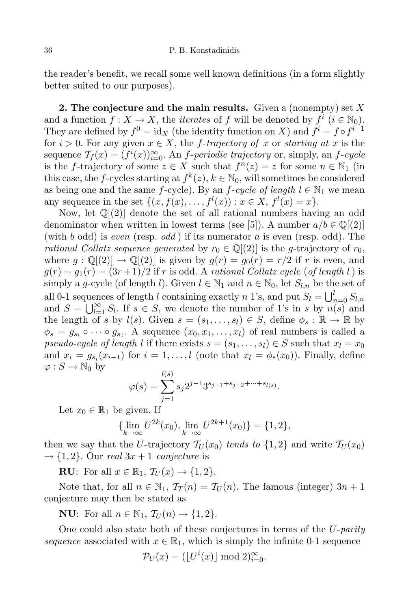the reader's benefit, we recall some well known definitions (in a form slightly better suited to our purposes).

**2.** The conjecture and the main results. Given a (nonempty) set  $X$ and a function  $f: X \to X$ , the *iterates* of f will be denoted by  $f^i$   $(i \in \mathbb{N}_0)$ . They are defined by  $f^0 = id_X$  (the identity function on X) and  $f^i = f \circ f^{i-1}$ for  $i > 0$ . For any given  $x \in X$ , the f-trajectory of x or starting at x is the sequence  $\mathcal{T}_f(x) = (f^i(x))_{i=0}^{\infty}$ . An *f-periodic trajectory* or, simply, an *f-cycle* is the f-trajectory of some  $z \in X$  such that  $f^{n}(z) = z$  for some  $n \in \mathbb{N}_1$  (in this case, the *f*-cycles starting at  $f^k(z)$ ,  $k \in \mathbb{N}_0$ , will sometimes be considered as being one and the same f-cycle). By an f-cycle of length  $l \in \mathbb{N}_1$  we mean any sequence in the set  $\{(x, f(x), \ldots, f^l(x)) : x \in X, f^l(x) = x\}.$ 

Now, let  $\mathbb{Q}[(2)]$  denote the set of all rational numbers having an odd denominator when written in lowest terms (see [5]). A number  $a/b \in \mathbb{Q}[(2)]$ (with b odd) is even (resp. odd) if its numerator a is even (resp. odd). The rational Collatz sequence generated by  $r_0 \in \mathbb{Q}[(2)]$  is the g-trajectory of  $r_0$ , where  $g : \mathbb{Q}[(2)] \to \mathbb{Q}[(2)]$  is given by  $g(r) = g_0(r) = r/2$  if r is even, and  $g(r) = g_1(r) = (3r+1)/2$  if r is odd. A rational Collatz cycle (of length l) is simply a g-cycle (of length l). Given  $l \in \mathbb{N}_1$  and  $n \in \mathbb{N}_0$ , let  $S_{l,n}$  be the set of all 0-1 sequences of length l containing exactly n 1's, and put  $S_l = \bigcup_{n=0}^{l} S_{l,n}$ and  $S = \bigcup_{l=1}^{\infty} S_l$ . If  $s \in S$ , we denote the number of 1's in s by  $n(s)$  and the length of s by  $l(s)$ . Given  $s = (s_1, \ldots, s_l) \in S$ , define  $\phi_s : \mathbb{R} \to \mathbb{R}$  by  $\phi_s = g_{s_l} \circ \cdots \circ g_{s_1}$ . A sequence  $(x_0, x_1, \ldots, x_l)$  of real numbers is called a pseudo-cycle of length l if there exists  $s = (s_1, \ldots, s_l) \in S$  such that  $x_l = x_0$ and  $x_i = g_{s_i}(x_{i-1})$  for  $i = 1, ..., l$  (note that  $x_l = \phi_s(x_0)$ ). Finally, define  $\varphi: S \to \mathbb{N}_0$  by  $\overline{1/\sqrt{2}}$ 

$$
\varphi(s) = \sum_{j=1}^{l(s)} s_j 2^{j-1} 3^{s_{j+1}+s_{j+2}+\cdots+s_{l(s)}}.
$$

Let  $x_0 \in \mathbb{R}_1$  be given. If

$$
\{\lim_{k \to \infty} U^{2k}(x_0), \lim_{k \to \infty} U^{2k+1}(x_0)\} = \{1, 2\},\
$$

then we say that the U-trajectory  $\mathcal{T}_U(x_0)$  tends to  $\{1,2\}$  and write  $\mathcal{T}_U(x_0)$  $\rightarrow$  {1, 2}. Our real 3x + 1 conjecture is

RU: For all  $x \in \mathbb{R}_1$ ,  $\mathcal{T}_U(x) \to \{1,2\}.$ 

Note that, for all  $n \in \mathbb{N}_1$ ,  $\mathcal{T}_T(n) = \mathcal{T}_U(n)$ . The famous (integer)  $3n + 1$ conjecture may then be stated as

**NU:** For all  $n \in \mathbb{N}_1$ ,  $\mathcal{T}_U(n) \rightarrow \{1, 2\}.$ 

One could also state both of these conjectures in terms of the  $U$ -parity sequence associated with  $x \in \mathbb{R}_1$ , which is simply the infinite 0-1 sequence

$$
\mathcal{P}_U(x) = (\lfloor U^i(x) \rfloor \bmod 2)_{i=0}^{\infty}.
$$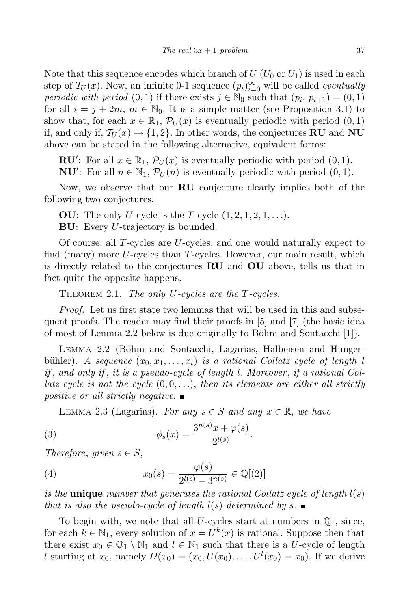Note that this sequence encodes which branch of  $U(U_0 \text{ or } U_1)$  is used in each step of  $\mathcal{T}_U(x)$ . Now, an infinite 0-1 sequence  $(p_i)_{i=0}^{\infty}$  will be called *eventually* periodic with period  $(0, 1)$  if there exists  $j \in \mathbb{N}_0$  such that  $(p_i, p_{i+1}) = (0, 1)$ for all  $i = j + 2m$ ,  $m \in \mathbb{N}_0$ . It is a simple matter (see Proposition 3.1) to show that, for each  $x \in \mathbb{R}_1$ ,  $\mathcal{P}_U(x)$  is eventually periodic with period  $(0, 1)$ if, and only if,  $\mathcal{T}_U(x) \to \{1,2\}$ . In other words, the conjectures **RU** and **NU** above can be stated in the following alternative, equivalent forms:

**RU':** For all  $x \in \mathbb{R}_1$ ,  $\mathcal{P}_U(x)$  is eventually periodic with period  $(0, 1)$ .

**NU':** For all  $n \in \mathbb{N}_1$ ,  $\mathcal{P}_U(n)$  is eventually periodic with period  $(0, 1)$ .

Now, we observe that our RU conjecture clearly implies both of the following two conjectures.

**OU:** The only U-cycle is the T-cycle  $(1, 2, 1, 2, 1, \ldots)$ .

**BU:** Every *U*-trajectory is bounded.

Of course, all T-cycles are U-cycles, and one would naturally expect to find (many) more  $U$ -cycles than  $T$ -cycles. However, our main result, which is directly related to the conjectures RU and OU above, tells us that in fact quite the opposite happens.

THEOREM 2.1. The only U-cycles are the T-cycles.

Proof. Let us first state two lemmas that will be used in this and subsequent proofs. The reader may find their proofs in [5] and [7] (the basic idea of most of Lemma 2.2 below is due originally to Böhm and Sontacchi  $[1]$ .

LEMMA 2.2 (Böhm and Sontacchi, Lagarias, Halbeisen and Hungerbühler). A sequence  $(x_0, x_1, \ldots, x_l)$  is a rational Collatz cycle of length l if , and only if , it is a pseudo-cycle of length l. Moreover , if a rational Collatz cycle is not the cycle  $(0, 0, \ldots)$ , then its elements are either all strictly positive or all strictly negative.  $\blacksquare$ 

LEMMA 2.3 (Lagarias). For any  $s \in S$  and any  $x \in \mathbb{R}$ , we have

(3) 
$$
\phi_s(x) = \frac{3^{n(s)}x + \varphi(s)}{2^{l(s)}}.
$$

Therefore, given  $s \in S$ ,

(4) 
$$
x_0(s) = \frac{\varphi(s)}{2^{l(s)} - 3^{n(s)}} \in \mathbb{Q}[(2)]
$$

is the **unique** number that generates the rational Collatz cycle of length  $l(s)$ that is also the pseudo-cycle of length  $l(s)$  determined by s.

To begin with, we note that all U-cycles start at numbers in  $\mathbb{Q}_1$ , since, for each  $k \in \mathbb{N}_1$ , every solution of  $x = U^k(x)$  is rational. Suppose then that there exist  $x_0 \in \mathbb{Q}_1 \setminus \mathbb{N}_1$  and  $l \in \mathbb{N}_1$  such that there is a U-cycle of length l starting at  $x_0$ , namely  $\Omega(x_0) = (x_0, U(x_0), \ldots, U^l(x_0) = x_0)$ . If we derive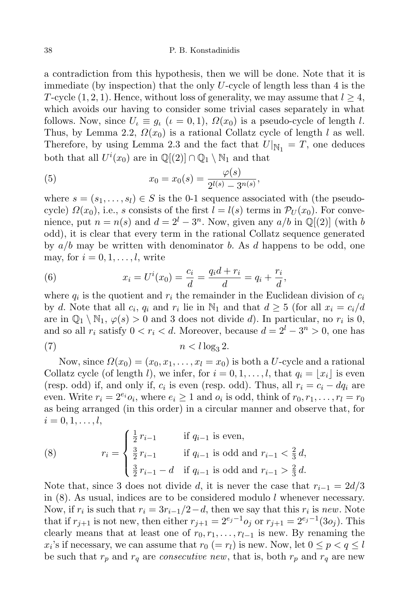## 38 P. B. Konstadinidis

a contradiction from this hypothesis, then we will be done. Note that it is immediate (by inspection) that the only  $U$ -cycle of length less than 4 is the T-cycle  $(1, 2, 1)$ . Hence, without loss of generality, we may assume that  $l \geq 4$ , which avoids our having to consider some trivial cases separately in what follows. Now, since  $U_l \equiv q_l$   $(\iota = 0, 1)$ ,  $\Omega(x_0)$  is a pseudo-cycle of length l. Thus, by Lemma 2.2,  $\Omega(x_0)$  is a rational Collatz cycle of length l as well. Therefore, by using Lemma 2.3 and the fact that  $U|_{\mathbb{N}_1} = T$ , one deduces both that all  $U^i(x_0)$  are in  $\mathbb{Q}[(2)] \cap \mathbb{Q}_1 \setminus \mathbb{N}_1$  and that

(5) 
$$
x_0 = x_0(s) = \frac{\varphi(s)}{2^{l(s)} - 3^{n(s)}},
$$

where  $s = (s_1, \ldots, s_l) \in S$  is the 0-1 sequence associated with (the pseudocycle)  $\Omega(x_0)$ , i.e., s consists of the first  $l = l(s)$  terms in  $\mathcal{P}_U(x_0)$ . For convenience, put  $n = n(s)$  and  $d = 2^l - 3^n$ . Now, given any  $a/b$  in  $\mathbb{Q}[(2)]$  (with b odd), it is clear that every term in the rational Collatz sequence generated by  $a/b$  may be written with denominator b. As d happens to be odd, one may, for  $i = 0, 1, \ldots, l$ , write

(6) 
$$
x_i = U^i(x_0) = \frac{c_i}{d} = \frac{q_i d + r_i}{d} = q_i + \frac{r_i}{d},
$$

where  $q_i$  is the quotient and  $r_i$  the remainder in the Euclidean division of  $c_i$ by d. Note that all  $c_i$ ,  $q_i$  and  $r_i$  lie in  $\mathbb{N}_1$  and that  $d \geq 5$  (for all  $x_i = c_i/d$ are in  $\mathbb{Q}_1 \setminus \mathbb{N}_1$ ,  $\varphi(s) > 0$  and 3 does not divide d). In particular, no  $r_i$  is 0, and so all  $r_i$  satisfy  $0 < r_i < d$ . Moreover, because  $d = 2^l - 3^n > 0$ , one has (7)  $n < l \log_3 2$ .

Now, since  $\Omega(x_0) = (x_0, x_1, \ldots, x_l = x_0)$  is both a U-cycle and a rational Collatz cycle (of length l), we infer, for  $i = 0, 1, \ldots, l$ , that  $q_i = |x_i|$  is even (resp. odd) if, and only if,  $c_i$  is even (resp. odd). Thus, all  $r_i = c_i - dq_i$  are even. Write  $r_i = 2^{e_i} o_i$ , where  $e_i \ge 1$  and  $o_i$  is odd, think of  $r_0, r_1, \ldots, r_l = r_0$ as being arranged (in this order) in a circular manner and observe that, for  $i = 0, 1, \ldots, l,$ 

(8) 
$$
r_{i} = \begin{cases} \frac{1}{2} r_{i-1} & \text{if } q_{i-1} \text{ is even,} \\ \frac{3}{2} r_{i-1} & \text{if } q_{i-1} \text{ is odd and } r_{i-1} < \frac{2}{3} d, \\ \frac{3}{2} r_{i-1} - d & \text{if } q_{i-1} \text{ is odd and } r_{i-1} > \frac{2}{3} d. \end{cases}
$$

Note that, since 3 does not divide d, it is never the case that  $r_{i-1} = 2d/3$ in  $(8)$ . As usual, indices are to be considered modulo l whenever necessary. Now, if  $r_i$  is such that  $r_i = 3r_{i-1}/2 - d$ , then we say that this  $r_i$  is new. Note that if  $r_{j+1}$  is not new, then either  $r_{j+1} = 2^{e_j-1} o_j$  or  $r_{j+1} = 2^{e_j-1} (3o_j)$ . This clearly means that at least one of  $r_0, r_1, \ldots, r_{l-1}$  is new. By renaming the  $x_i$ 's if necessary, we can assume that  $r_0 (= r_l)$  is new. Now, let  $0 \le p < q \le l$ be such that  $r_p$  and  $r_q$  are *consecutive new*, that is, both  $r_p$  and  $r_q$  are new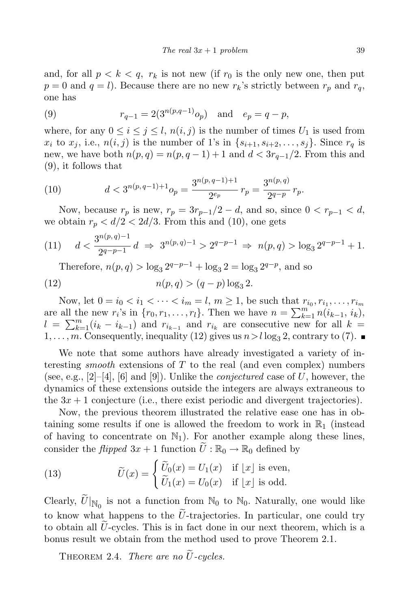and, for all  $p < k < q$ ,  $r_k$  is not new (if  $r_0$  is the only new one, then put  $p = 0$  and  $q = l$ ). Because there are no new  $r_k$ 's strictly between  $r_p$  and  $r_q$ , one has

(9) 
$$
r_{q-1} = 2(3^{n(p,q-1)}o_p)
$$
 and  $e_p = q - p$ ,

where, for any  $0 \le i \le j \le l$ ,  $n(i, j)$  is the number of times  $U_1$  is used from  $x_i$  to  $x_j$ , i.e.,  $n(i, j)$  is the number of 1's in  $\{s_{i+1}, s_{i+2}, \ldots, s_j\}$ . Since  $r_q$  is new, we have both  $n(p, q) = n(p, q - 1) + 1$  and  $d < 3r_{q-1}/2$ . From this and (9), it follows that

(10) 
$$
d < 3^{n(p,q-1)+1}o_p = \frac{3^{n(p,q-1)+1}}{2^{e_p}}r_p = \frac{3^{n(p,q)}}{2^{q-p}}r_p.
$$

Now, because  $r_p$  is new,  $r_p = 3r_{p-1}/2 - d$ , and so, since  $0 < r_{p-1} < d$ , we obtain  $r_p < d/2 < 2d/3$ . From this and (10), one gets

(11) 
$$
d < \frac{3^{n(p,q)-1}}{2^{q-p-1}}d \Rightarrow 3^{n(p,q)-1} > 2^{q-p-1} \Rightarrow n(p,q) > \log_3 2^{q-p-1} + 1.
$$

Therefore,  $n(p, q) > \log_3 2^{q-p-1} + \log_3 2 = \log_3 2^{q-p}$ , and so

(12) 
$$
n(p,q) > (q-p)\log_3 2.
$$

Now, let  $0 = i_0 < i_1 < \cdots < i_m = l, m \ge 1$ , be such that  $r_{i_0}, r_{i_1}, \ldots, r_{i_m}$ are all the new  $r_i$ 's in  $\{r_0, r_1, \ldots, r_l\}$ . Then we have  $n = \sum_{k=1}^m n(i_{k-1}, i_k)$ ,  $l = \sum_{k=1}^{m} (i_k - i_{k-1})$  and  $r_{i_{k-1}}$  and  $r_{i_k}$  are consecutive new for all  $k =$  $1, \ldots, m$ . Consequently, inequality (12) gives us  $n > l \log_3 2$ , contrary to (7).

We note that some authors have already investigated a variety of interesting *smooth* extensions of  $T$  to the real (and even complex) numbers (see, e.g.,  $[2]-[4]$ ,  $[6]$  and  $[9]$ ). Unlike the *conjectured* case of U, however, the dynamics of these extensions outside the integers are always extraneous to the  $3x + 1$  conjecture (i.e., there exist periodic and divergent trajectories).

Now, the previous theorem illustrated the relative ease one has in obtaining some results if one is allowed the freedom to work in  $\mathbb{R}_1$  (instead of having to concentrate on  $\mathbb{N}_1$ ). For another example along these lines, consider the *flipped*  $3x + 1$  function  $\tilde{U} : \mathbb{R}_0 \to \mathbb{R}_0$  defined by

(13) 
$$
\widetilde{U}(x) = \begin{cases} \widetilde{U}_0(x) = U_1(x) & \text{if } \lfloor x \rfloor \text{ is even,} \\ \widetilde{U}_1(x) = U_0(x) & \text{if } \lfloor x \rfloor \text{ is odd.} \end{cases}
$$

Clearly,  $U|_{\mathbb{N}_0}$  is not a function from  $\mathbb{N}_0$  to  $\mathbb{N}_0$ . Naturally, one would like to know what happens to the  $\tilde{U}$ -trajectories. In particular, one could try to obtain all  $U$ -cycles. This is in fact done in our next theorem, which is a bonus result we obtain from the method used to prove Theorem 2.1.

THEOREM 2.4. There are no  $\tilde{U}$ -cycles.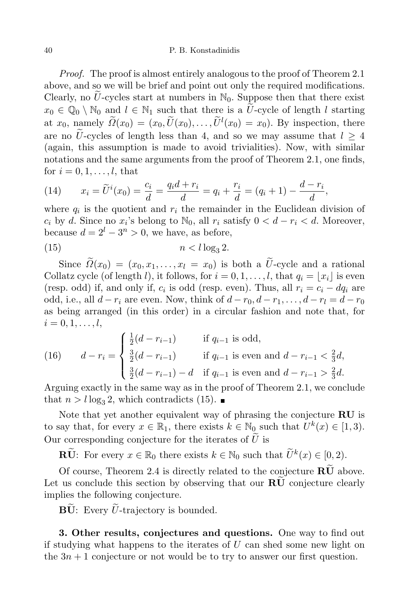## 40 P. B. Konstadinidis

*Proof.* The proof is almost entirely analogous to the proof of Theorem 2.1 above, and so we will be brief and point out only the required modifications. Clearly, no  $\tilde{U}$ -cycles start at numbers in  $\mathbb{N}_0$ . Suppose then that there exist  $x_0 \in \mathbb{Q}_0 \setminus \mathbb{N}_0$  and  $l \in \mathbb{N}_1$  such that there is a U-cycle of length l starting at  $x_0$ , namely  $\Omega(x_0) = (x_0, \tilde{U}(x_0), \ldots, \tilde{U}^l(x_0) = x_0)$ . By inspection, there are no  $\tilde{U}$ -cycles of length less than 4, and so we may assume that  $l > 4$ (again, this assumption is made to avoid trivialities). Now, with similar notations and the same arguments from the proof of Theorem 2.1, one finds, for  $i = 0, 1, \ldots, l$ , that

(14) 
$$
x_i = \tilde{U}^i(x_0) = \frac{c_i}{d} = \frac{q_i d + r_i}{d} = q_i + \frac{r_i}{d} = (q_i + 1) - \frac{d - r_i}{d},
$$

where  $q_i$  is the quotient and  $r_i$  the remainder in the Euclidean division of  $c_i$  by d. Since no  $x_i$ 's belong to  $\mathbb{N}_0$ , all  $r_i$  satisfy  $0 < d - r_i < d$ . Moreover, because  $d = 2^l - 3^n > 0$ , we have, as before,

$$
(15) \t\t\t n < l \log_3 2.
$$

Since  $\widetilde{\Omega}(x_0) = (x_0, x_1, \ldots, x_l = x_0)$  is both a  $\widetilde{U}$ -cycle and a rational Collatz cycle (of length l), it follows, for  $i = 0, 1, \ldots, l$ , that  $q_i = |x_i|$  is even (resp. odd) if, and only if,  $c_i$  is odd (resp. even). Thus, all  $r_i = c_i - dq_i$  are odd, i.e., all  $d - r_i$  are even. Now, think of  $d - r_0, d - r_1, \ldots, d - r_l = d - r_0$ as being arranged (in this order) in a circular fashion and note that, for  $i = 0, 1, \ldots, l,$ 

(16) 
$$
d - r_i = \begin{cases} \frac{1}{2}(d - r_{i-1}) & \text{if } q_{i-1} \text{ is odd,} \\ \frac{3}{2}(d - r_{i-1}) & \text{if } q_{i-1} \text{ is even and } d - r_{i-1} < \frac{2}{3}d, \\ \frac{3}{2}(d - r_{i-1}) - d & \text{if } q_{i-1} \text{ is even and } d - r_{i-1} > \frac{2}{3}d. \end{cases}
$$

Arguing exactly in the same way as in the proof of Theorem 2.1, we conclude that  $n > l \log_3 2$ , which contradicts (15).

Note that yet another equivalent way of phrasing the conjecture RU is to say that, for every  $x \in \mathbb{R}_1$ , there exists  $k \in \mathbb{N}_0$  such that  $U^k(x) \in [1,3)$ . Our corresponding conjecture for the iterates of  $\tilde{U}$  is

**RU**: For every  $x \in \mathbb{R}_0$  there exists  $k \in \mathbb{N}_0$  such that  $\widetilde{U}^k(x) \in [0, 2)$ .

Of course, Theorem 2.4 is directly related to the conjecture  $\overline{\text{RU}}$  above. Let us conclude this section by observing that our  $RU$  conjecture clearly implies the following conjecture.

 $\mathbf{B}\tilde{\mathbf{U}}$ : Every  $\tilde{U}$ -trajectory is bounded.

3. Other results, conjectures and questions. One way to find out if studying what happens to the iterates of  $U$  can shed some new light on the  $3n + 1$  conjecture or not would be to try to answer our first question.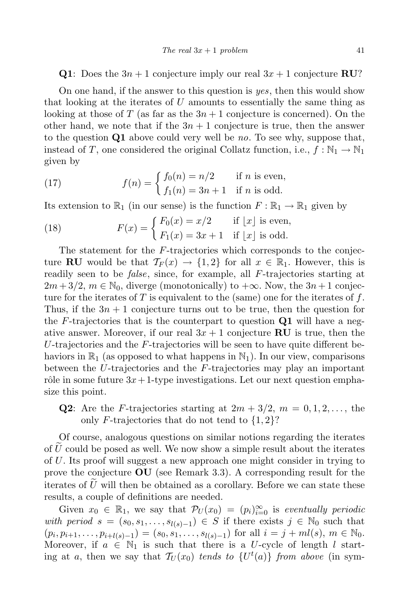**Q1**: Does the  $3n + 1$  conjecture imply our real  $3x + 1$  conjecture **RU**?

On one hand, if the answer to this question is yes, then this would show that looking at the iterates of U amounts to essentially the same thing as looking at those of T (as far as the  $3n + 1$  conjecture is concerned). On the other hand, we note that if the  $3n + 1$  conjecture is true, then the answer to the question  $Q1$  above could very well be no. To see why, suppose that, instead of T, one considered the original Collatz function, i.e.,  $f : \mathbb{N}_1 \to \mathbb{N}_1$ given by

(17) 
$$
f(n) = \begin{cases} f_0(n) = n/2 & \text{if } n \text{ is even,} \\ f_1(n) = 3n + 1 & \text{if } n \text{ is odd.} \end{cases}
$$

Its extension to  $\mathbb{R}_1$  (in our sense) is the function  $F : \mathbb{R}_1 \to \mathbb{R}_1$  given by

(18) 
$$
F(x) = \begin{cases} F_0(x) = x/2 & \text{if } \lfloor x \rfloor \text{ is even,} \\ F_1(x) = 3x + 1 & \text{if } \lfloor x \rfloor \text{ is odd.} \end{cases}
$$

The statement for the F-trajectories which corresponds to the conjecture **RU** would be that  $T_F(x) \to \{1,2\}$  for all  $x \in \mathbb{R}_1$ . However, this is readily seen to be *false*, since, for example, all  $F$ -trajectories starting at  $2m+3/2$ ,  $m \in \mathbb{N}_0$ , diverge (monotonically) to  $+\infty$ . Now, the  $3n+1$  conjecture for the iterates of T is equivalent to the (same) one for the iterates of  $f$ . Thus, if the  $3n + 1$  conjecture turns out to be true, then the question for the F-trajectories that is the counterpart to question  $Q1$  will have a negative answer. Moreover, if our real  $3x + 1$  conjecture **RU** is true, then the U-trajectories and the  $F$ -trajectories will be seen to have quite different behaviors in  $\mathbb{R}_1$  (as opposed to what happens in  $\mathbb{N}_1$ ). In our view, comparisons between the U-trajectories and the  $F$ -trajectories may play an important rôle in some future  $3x+1$ -type investigations. Let our next question emphasize this point.

**Q2**: Are the *F*-trajectories starting at  $2m + 3/2$ ,  $m = 0, 1, 2, \ldots$ , the only F-trajectories that do not tend to  $\{1,2\}$ ?

Of course, analogous questions on similar notions regarding the iterates of  $U$  could be posed as well. We now show a simple result about the iterates of U. Its proof will suggest a new approach one might consider in trying to prove the conjecture  $\mathbf{O}\mathbf{U}$  (see Remark 3.3). A corresponding result for the iterates of  $\hat{U}$  will then be obtained as a corollary. Before we can state these results, a couple of definitions are needed.

Given  $x_0 \in \mathbb{R}_1$ , we say that  $\mathcal{P}_U(x_0) = (p_i)_{i=0}^{\infty}$  is eventually periodic with period  $s = (s_0, s_1, \ldots, s_{l(s)-1}) \in S$  if there exists  $j \in \mathbb{N}_0$  such that  $(p_i, p_{i+1}, \ldots, p_{i+l(s)-1}) = (s_0, s_1, \ldots, s_{l(s)-1})$  for all  $i = j + ml(s), m \in \mathbb{N}_0$ . Moreover, if  $a \in \mathbb{N}_1$  is such that there is a U-cycle of length l starting at a, then we say that  $\mathcal{T}_U(x_0)$  tends to  $\{U^t(a)\}\$  from above (in sym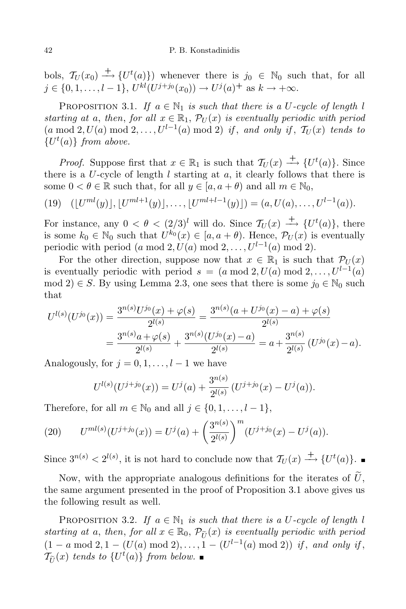bols,  $\mathcal{T}_U(x_0) \longrightarrow \{U^t(a)\}\)$  whenever there is  $j_0 \in \mathbb{N}_0$  such that, for all  $j \in \{0, 1, \ldots, l-1\}, U^{kl}(U^{j+j_0}(x_0)) \to U^j(a)^+$  as  $k \to +\infty$ .

PROPOSITION 3.1. If  $a \in \mathbb{N}_1$  is such that there is a U-cycle of length l starting at a, then, for all  $x \in \mathbb{R}_1$ ,  $\mathcal{P}_U(x)$  is eventually periodic with period  $(a \mod 2, U(a) \mod 2, \ldots, U^{l-1}(a) \mod 2)$  if, and only if,  $\mathcal{T}_U(x)$  tends to  ${U<sup>t</sup>(a)}$  from above.

*Proof.* Suppose first that  $x \in \mathbb{R}_1$  is such that  $\mathcal{T}_U(x) \longrightarrow U^t(a)$ . Since there is a  $U$ -cycle of length  $l$  starting at  $a$ , it clearly follows that there is some  $0 < \theta \in \mathbb{R}$  such that, for all  $y \in [a, a + \theta)$  and all  $m \in \mathbb{N}_0$ ,

(19) 
$$
(\lfloor U^{ml}(y) \rfloor, \lfloor U^{ml+1}(y) \rfloor, \ldots, \lfloor U^{ml+l-1}(y) \rfloor) = (a, U(a), \ldots, U^{l-1}(a)).
$$

For instance, any  $0 < \theta < (2/3)^l$  will do. Since  $\mathcal{T}_U(x) \longrightarrow U^t(a)$ , there is some  $k_0 \in \mathbb{N}_0$  such that  $U^{k_0}(x) \in [a, a + \theta)$ . Hence,  $\mathcal{P}_U(x)$  is eventually periodic with period  $(a \mod 2, U(a) \mod 2, \ldots, U^{l-1}(a) \mod 2)$ .

For the other direction, suppose now that  $x \in \mathbb{R}_1$  is such that  $\mathcal{P}_U(x)$ is eventually periodic with period  $s = (a \mod 2, U(a) \mod 2, \ldots, U^{l-1}(a))$ mod 2)  $\in$  S. By using Lemma 2.3, one sees that there is some  $j_0 \in \mathbb{N}_0$  such that

$$
U^{l(s)}(U^{j_0}(x)) = \frac{3^{n(s)}U^{j_0}(x) + \varphi(s)}{2^{l(s)}} = \frac{3^{n(s)}(a + U^{j_0}(x) - a) + \varphi(s)}{2^{l(s)}} = \frac{3^{n(s)}a + \varphi(s)}{2^{l(s)}} + \frac{3^{n(s)}(U^{j_0}(x) - a)}{2^{l(s)}} = a + \frac{3^{n(s)}}{2^{l(s)}}(U^{j_0}(x) - a).
$$

Analogously, for  $j = 0, 1, \ldots, l - 1$  we have

$$
U^{l(s)}(U^{j+j_0}(x)) = U^j(a) + \frac{3^{n(s)}}{2^{l(s)}}(U^{j+j_0}(x) - U^j(a)).
$$

Therefore, for all  $m \in \mathbb{N}_0$  and all  $j \in \{0, 1, \ldots, l-1\},\$ 

(20) 
$$
U^{ml(s)}(U^{j+j_0}(x)) = U^j(a) + \left(\frac{3^{n(s)}}{2^{l(s)}}\right)^m (U^{j+j_0}(x) - U^j(a)).
$$

Since  $3^{n(s)} < 2^{l(s)}$ , it is not hard to conclude now that  $\mathcal{T}_U(x) \stackrel{+}{\longrightarrow} \{U^t(a)\}.$ 

Now, with the appropriate analogous definitions for the iterates of  $\tilde{U}$ , the same argument presented in the proof of Proposition 3.1 above gives us the following result as well.

PROPOSITION 3.2. If  $a \in \mathbb{N}_1$  is such that there is a U-cycle of length l starting at a, then, for all  $x \in \mathbb{R}_0$ ,  $\mathcal{P}_{\tilde{U}}(x)$  is eventually periodic with period  $(1 - a \mod 2, 1 - (U(a) \mod 2), \ldots, 1 - (U^{l-1}(a) \mod 2))$  if, and only if,  $\mathcal{T}_{\tilde{U}}(x)$  tends to  $\{U^t(a)\}$  from below.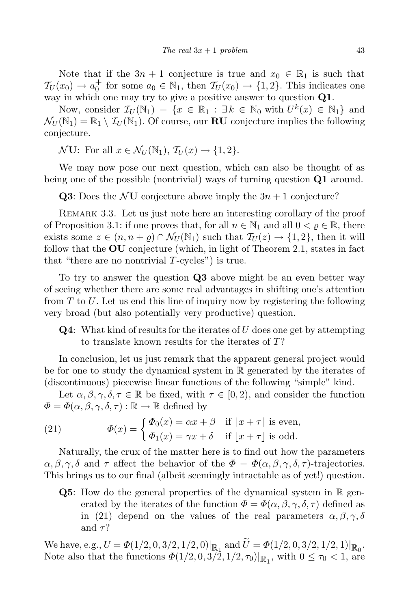Note that if the  $3n + 1$  conjecture is true and  $x_0 \in \mathbb{R}_1$  is such that  $\mathcal{T}_U(x_0) \to a_0^+$  $t_0^+$  for some  $a_0 \in \mathbb{N}_1$ , then  $\mathcal{T}_U(x_0) \to \{1,2\}$ . This indicates one way in which one may try to give a positive answer to question  $Q1$ .

Now, consider  $\mathcal{I}_U(\mathbb{N}_1) = \{x \in \mathbb{R}_1 : \exists k \in \mathbb{N}_0 \text{ with } U^k(x) \in \mathbb{N}_1\}$  and  $\mathcal{N}_U(\mathbb{N}_1) = \mathbb{R}_1 \setminus \mathcal{I}_U(\mathbb{N}_1)$ . Of course, our **RU** conjecture implies the following conjecture.

 $\mathcal{N}$ **U**: For all  $x \in \mathcal{N}_U(\mathbb{N}_1), \mathcal{T}_U(x) \to \{1, 2\}.$ 

We may now pose our next question, which can also be thought of as being one of the possible (nontrivial) ways of turning question Q1 around.

**Q3**: Does the NU conjecture above imply the  $3n + 1$  conjecture?

Remark 3.3. Let us just note here an interesting corollary of the proof of Proposition 3.1: if one proves that, for all  $n \in \mathbb{N}_1$  and all  $0 < \rho \in \mathbb{R}$ , there exists some  $z \in (n, n + \varrho) \cap \mathcal{N}_U(\mathbb{N}_1)$  such that  $\mathcal{T}_U(z) \to \{1, 2\}$ , then it will follow that the  $\mathbf{O}U$  conjecture (which, in light of Theorem 2.1, states in fact that "there are no nontrivial  $T$ -cycles") is true.

To try to answer the question Q3 above might be an even better way of seeing whether there are some real advantages in shifting one's attention from  $T$  to U. Let us end this line of inquiry now by registering the following very broad (but also potentially very productive) question.

 $\bf{Q4}:$  What kind of results for the iterates of U does one get by attempting to translate known results for the iterates of T?

In conclusion, let us just remark that the apparent general project would be for one to study the dynamical system in R generated by the iterates of (discontinuous) piecewise linear functions of the following "simple" kind.

Let  $\alpha, \beta, \gamma, \delta, \tau \in \mathbb{R}$  be fixed, with  $\tau \in [0, 2)$ , and consider the function  $\Phi = \Phi(\alpha, \beta, \gamma, \delta, \tau) : \mathbb{R} \to \mathbb{R}$  defined by

(21) 
$$
\Phi(x) = \begin{cases} \Phi_0(x) = \alpha x + \beta & \text{if } \lfloor x + \tau \rfloor \text{ is even,} \\ \Phi_1(x) = \gamma x + \delta & \text{if } \lfloor x + \tau \rfloor \text{ is odd.} \end{cases}
$$

Naturally, the crux of the matter here is to find out how the parameters  $\alpha, \beta, \gamma, \delta$  and  $\tau$  affect the behavior of the  $\Phi = \Phi(\alpha, \beta, \gamma, \delta, \tau)$ -trajectories. This brings us to our final (albeit seemingly intractable as of yet!) question.

**Q5**: How do the general properties of the dynamical system in  $\mathbb{R}$  generated by the iterates of the function  $\Phi = \Phi(\alpha, \beta, \gamma, \delta, \tau)$  defined as in (21) depend on the values of the real parameters  $\alpha, \beta, \gamma, \delta$ and  $\tau$ ?

We have, e.g.,  $U = \Phi(1/2, 0, 3/2, 1/2, 0)|_{\mathbb{R}_1}$  and  $U = \Phi(1/2, 0, 3/2, 1/2, 1)|_{\mathbb{R}_0}$ . Note also that the functions  $\Phi(1/2, 0, 3/2, 1/2, \tau_0)|_{\mathbb{R}_1}$ , with  $0 \le \tau_0 < 1$ , are